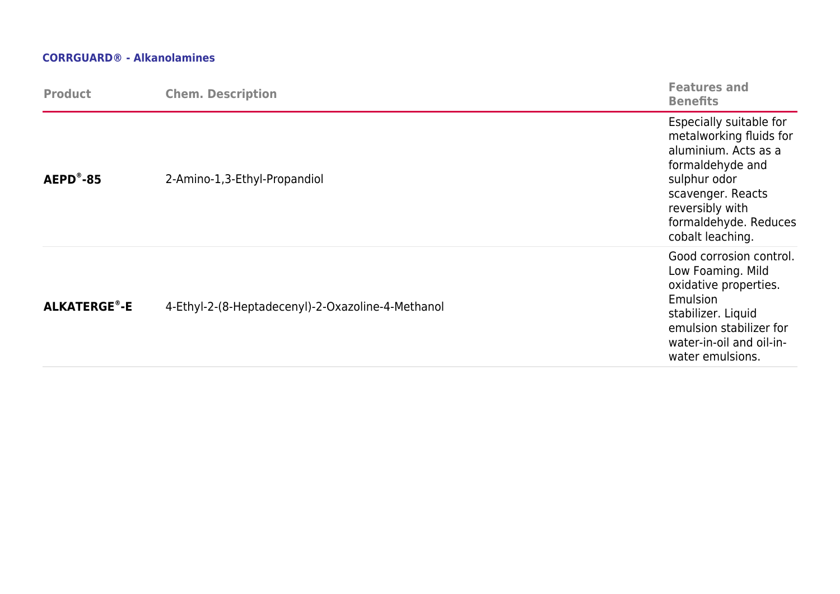## **CORRGUARD® - Alkanolamines**

| <b>Product</b>      | <b>Chem. Description</b>                          | <b>Features and</b><br><b>Benefits</b>                                                                                                                                                              |
|---------------------|---------------------------------------------------|-----------------------------------------------------------------------------------------------------------------------------------------------------------------------------------------------------|
| $AEPD^{\circ} - 85$ | 2-Amino-1,3-Ethyl-Propandiol                      | Especially suitable for<br>metalworking fluids for<br>aluminium. Acts as a<br>formaldehyde and<br>sulphur odor<br>scavenger. Reacts<br>reversibly with<br>formaldehyde. Reduces<br>cobalt leaching. |
| <b>ALKATERGE®-E</b> | 4-Ethyl-2-(8-Heptadecenyl)-2-Oxazoline-4-Methanol | Good corrosion control.<br>Low Foaming. Mild<br>oxidative properties.<br>Emulsion<br>stabilizer. Liquid<br>emulsion stabilizer for<br>water-in-oil and oil-in-<br>water emulsions.                  |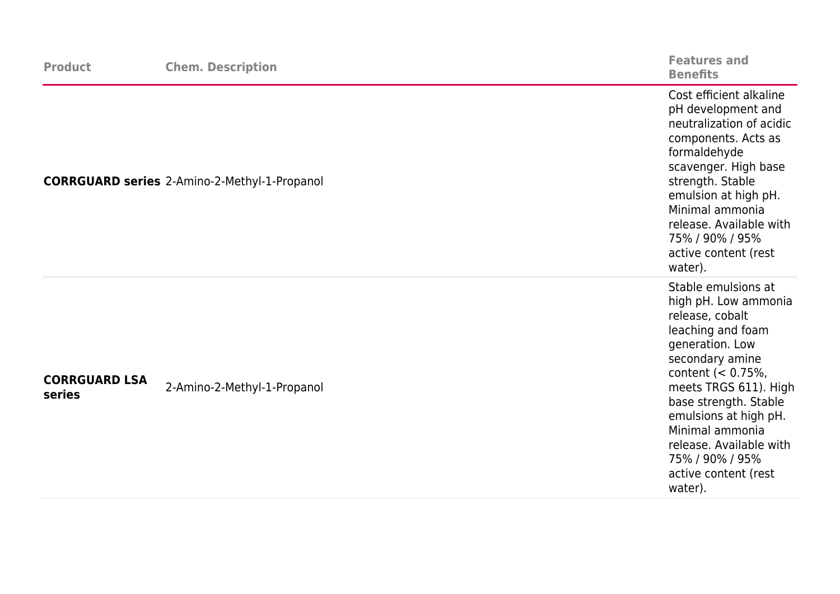| <b>Product</b>                 | <b>Chem. Description</b>                            | <b>Features and</b><br><b>Benefits</b>                                                                                                                                                                                                                                                                                            |
|--------------------------------|-----------------------------------------------------|-----------------------------------------------------------------------------------------------------------------------------------------------------------------------------------------------------------------------------------------------------------------------------------------------------------------------------------|
|                                | <b>CORRGUARD series</b> 2-Amino-2-Methyl-1-Propanol | Cost efficient alkaline<br>pH development and<br>neutralization of acidic<br>components. Acts as<br>formaldehyde<br>scavenger. High base<br>strength. Stable<br>emulsion at high pH.<br>Minimal ammonia<br>release. Available with<br>75% / 90% / 95%<br>active content (rest<br>water).                                          |
| <b>CORRGUARD LSA</b><br>series | 2-Amino-2-Methyl-1-Propanol                         | Stable emulsions at<br>high pH. Low ammonia<br>release, cobalt<br>leaching and foam<br>generation. Low<br>secondary amine<br>content $(< 0.75\%$ ,<br>meets TRGS 611). High<br>base strength. Stable<br>emulsions at high pH.<br>Minimal ammonia<br>release. Available with<br>75% / 90% / 95%<br>active content (rest<br>water). |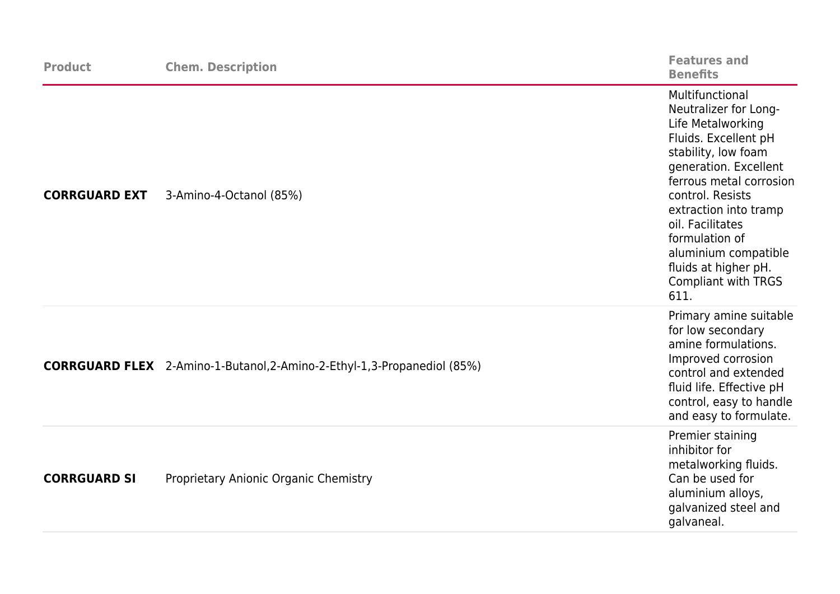| <b>Product</b>       | <b>Chem. Description</b>                                                        | <b>Features and</b><br><b>Benefits</b>                                                                                                                                                                                                                                                                                                    |
|----------------------|---------------------------------------------------------------------------------|-------------------------------------------------------------------------------------------------------------------------------------------------------------------------------------------------------------------------------------------------------------------------------------------------------------------------------------------|
| <b>CORRGUARD EXT</b> | 3-Amino-4-Octanol (85%)                                                         | Multifunctional<br>Neutralizer for Long-<br>Life Metalworking<br>Fluids. Excellent pH<br>stability, low foam<br>generation. Excellent<br>ferrous metal corrosion<br>control. Resists<br>extraction into tramp<br>oil. Facilitates<br>formulation of<br>aluminium compatible<br>fluids at higher pH.<br><b>Compliant with TRGS</b><br>611. |
|                      | <b>CORRGUARD FLEX</b> 2-Amino-1-Butanol, 2-Amino-2-Ethyl-1, 3-Propanediol (85%) | Primary amine suitable<br>for low secondary<br>amine formulations.<br>Improved corrosion<br>control and extended<br>fluid life. Effective pH<br>control, easy to handle<br>and easy to formulate.                                                                                                                                         |
| <b>CORRGUARD SI</b>  | Proprietary Anionic Organic Chemistry                                           | Premier staining<br>inhibitor for<br>metalworking fluids.<br>Can be used for<br>aluminium alloys,<br>galvanized steel and<br>galvaneal.                                                                                                                                                                                                   |